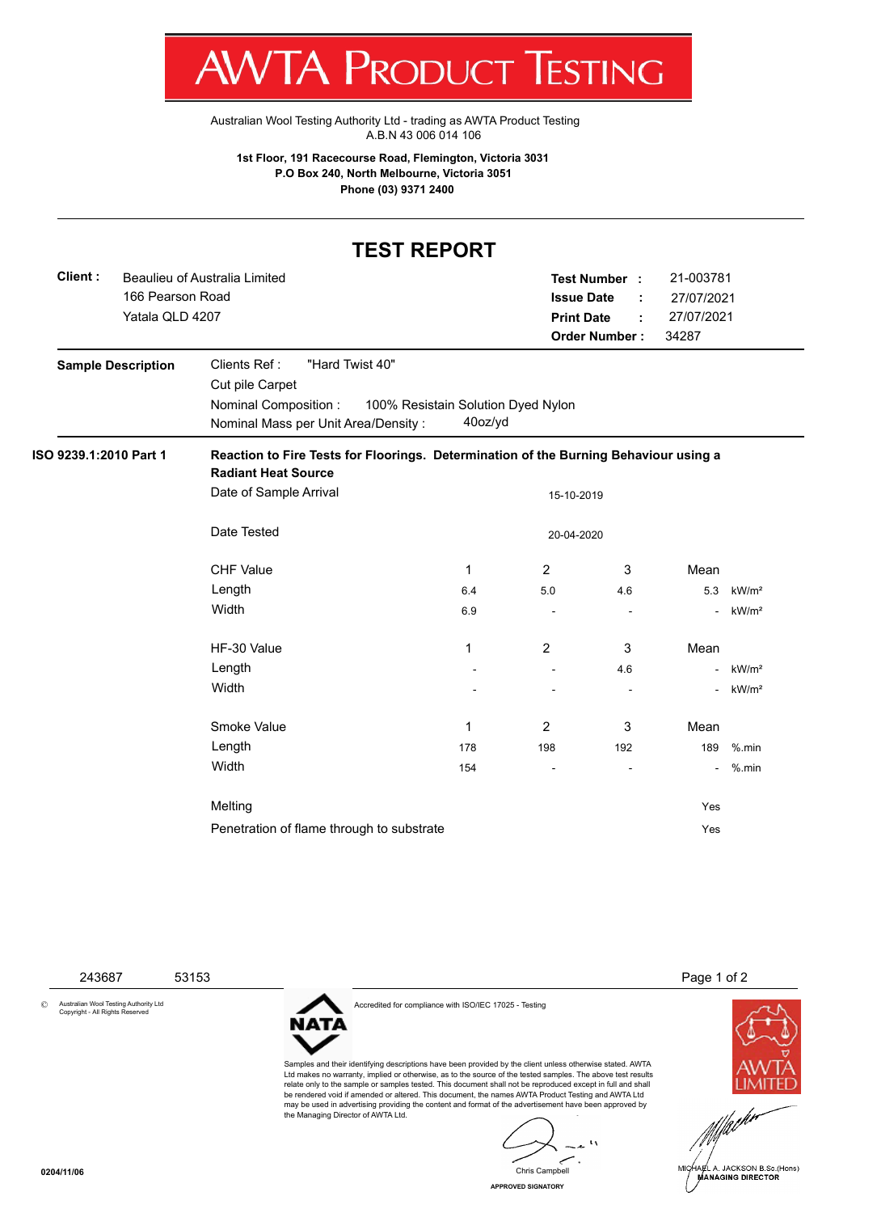I W **VI/VI KULUULI IEJIIINU** 

[Australian Wool Testing Authority Ltd - trading as AWTA Product Testing](http://www.awtaproducttesting.com.au/) A.B.N 43 006 014 106

**1st Floor, 191 Racecourse Road, Flemington, Victoria 3031 P.O Box 240, North Melbourne, Victoria 3051 Phone (03) 9371 2400**

## **TEST REPORT**

| Client:                   | Beaulieu of Australia Limited<br>166 Pearson Road<br>Yatala QLD 4207                                                     |                                                                                      |            | Test Number :<br><b>Issue Date</b><br><b>Print Date</b><br><b>Order Number:</b> | 21-003781<br>27/07/2021<br>27/07/2021<br>34287 |                   |  |  |  |  |
|---------------------------|--------------------------------------------------------------------------------------------------------------------------|--------------------------------------------------------------------------------------|------------|---------------------------------------------------------------------------------|------------------------------------------------|-------------------|--|--|--|--|
| <b>Sample Description</b> | Clients Ref:<br>"Hard Twist 40"<br>Cut pile Carpet<br><b>Nominal Composition:</b><br>Nominal Mass per Unit Area/Density: | 100% Resistain Solution Dyed Nylon<br>40oz/yd                                        |            |                                                                                 |                                                |                   |  |  |  |  |
| ISO 9239.1:2010 Part 1    | <b>Radiant Heat Source</b>                                                                                               | Reaction to Fire Tests for Floorings. Determination of the Burning Behaviour using a |            |                                                                                 |                                                |                   |  |  |  |  |
|                           | Date of Sample Arrival                                                                                                   |                                                                                      | 15-10-2019 |                                                                                 |                                                |                   |  |  |  |  |
|                           | Date Tested                                                                                                              |                                                                                      | 20-04-2020 |                                                                                 |                                                |                   |  |  |  |  |
|                           | <b>CHF Value</b>                                                                                                         | 1                                                                                    | 2          | 3                                                                               | Mean                                           |                   |  |  |  |  |
|                           | Length                                                                                                                   | 6.4                                                                                  | 5.0        | 4.6                                                                             | 5.3                                            | kW/m <sup>2</sup> |  |  |  |  |
|                           | Width                                                                                                                    | 6.9                                                                                  |            |                                                                                 |                                                | kW/m <sup>2</sup> |  |  |  |  |
|                           | HF-30 Value                                                                                                              | 1                                                                                    | 2          | 3                                                                               | Mean                                           |                   |  |  |  |  |
|                           | Length                                                                                                                   |                                                                                      | ÷,         | 4.6                                                                             |                                                | kW/m <sup>2</sup> |  |  |  |  |
|                           | Width                                                                                                                    |                                                                                      |            |                                                                                 |                                                | kW/m <sup>2</sup> |  |  |  |  |
|                           | Smoke Value                                                                                                              | 1                                                                                    | 2          | 3                                                                               | Mean                                           |                   |  |  |  |  |
|                           | Length                                                                                                                   | 178                                                                                  | 198        | 192                                                                             | 189                                            | $%$ .min          |  |  |  |  |
|                           | Width                                                                                                                    | 154                                                                                  |            |                                                                                 |                                                | $%$ .min          |  |  |  |  |
|                           | Melting                                                                                                                  |                                                                                      |            |                                                                                 | Yes                                            |                   |  |  |  |  |
|                           | Penetration of flame through to substrate                                                                                |                                                                                      |            |                                                                                 | Yes                                            |                   |  |  |  |  |

© Australian Wool Testing Authority Ltd Copyright - All Rights Reserved

NATA



Samples and their identifying descriptions have been provided by the client unless otherwise stated. AWTA

243687 53153 Page 1 of 2



Ltd makes no warranty, implied or otherwise, as to the source of the tested samples. The above test results relate only to the sample or samples tested. This document shall not be reproduced except in full and shall be rendered void if amended or altered. This document, the names AWTA Product Testing and AWTA Ltd may be used in advertising providing the content and format of the advertisement have been approved by the Managing Director of AWTA Ltd.

 $\mathbf{A}$ Chris Campbell

**APPROVED SIGNATORY**